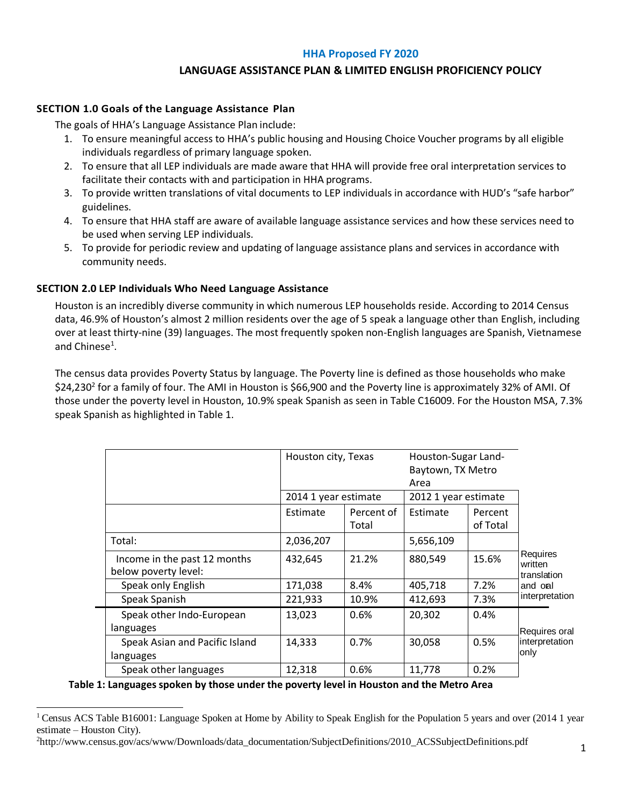## **HHA Proposed FY 2020**

# **LANGUAGE ASSISTANCE PLAN & LIMITED ENGLISH PROFICIENCY POLICY**

### **SECTION 1.0 Goals of the Language Assistance Plan**

The goals of HHA's Language Assistance Plan include:

- 1. To ensure meaningful access to HHA's public housing and Housing Choice Voucher programs by all eligible individuals regardless of primary language spoken.
- 2. To ensure that all LEP individuals are made aware that HHA will provide free oral interpretation services to facilitate their contacts with and participation in HHA programs.
- 3. To provide written translations of vital documents to LEP individuals in accordance with HUD's "safe harbor" guidelines.
- 4. To ensure that HHA staff are aware of available language assistance services and how these services need to be used when serving LEP individuals.
- 5. To provide for periodic review and updating of language assistance plans and services in accordance with community needs.

# **SECTION 2.0 LEP Individuals Who Need Language Assistance**

Houston is an incredibly diverse community in which numerous LEP households reside. According to 2014 Census data, 46.9% of Houston's almost 2 million residents over the age of 5 speak a language other than English, including over at least thirty-nine (39) languages. The most frequently spoken non-English languages are Spanish, Vietnamese and Chinese<sup>1</sup>.

The census data provides Poverty Status by language. The Poverty line is defined as those households who make \$24,230<sup>2</sup> for a family of four. The AMI in Houston is \$66,900 and the Poverty line is approximately 32% of AMI. Of those under the poverty level in Houston, 10.9% speak Spanish as seen in Table C16009. For the Houston MSA, 7.3% speak Spanish as highlighted in Table 1.

|                                                      | Houston city, Texas<br>2014 1 year estimate |                     | Houston-Sugar Land-<br>Baytown, TX Metro<br>Area<br>2012 1 year estimate |                     |                                                                 |
|------------------------------------------------------|---------------------------------------------|---------------------|--------------------------------------------------------------------------|---------------------|-----------------------------------------------------------------|
|                                                      |                                             |                     |                                                                          |                     |                                                                 |
|                                                      | Estimate                                    | Percent of<br>Total | Estimate                                                                 | Percent<br>of Total |                                                                 |
| Total:                                               | 2,036,207                                   |                     | 5,656,109                                                                |                     | Requires<br>written<br>translation<br>and onl<br>interpretation |
| Income in the past 12 months<br>below poverty level: | 432,645                                     | 21.2%               | 880,549                                                                  | 15.6%               |                                                                 |
| Speak only English                                   | 171,038                                     | 8.4%                | 405,718                                                                  | 7.2%                |                                                                 |
| Speak Spanish                                        | 221,933                                     | 10.9%               | 412,693                                                                  | 7.3%                |                                                                 |
| Speak other Indo-European<br>languages               | 13,023                                      | 0.6%                | 20,302                                                                   | 0.4%                | Requires oral<br>interpretation<br>only                         |
| Speak Asian and Pacific Island<br>languages          | 14,333                                      | 0.7%                | 30,058                                                                   | 0.5%                |                                                                 |
| Speak other languages                                | 12,318                                      | 0.6%                | 11,778                                                                   | 0.2%                |                                                                 |

**Table 1: Languages spoken by those under the poverty level in Houston and the Metro Area**

<sup>&</sup>lt;sup>1</sup> Census ACS Table B16001: Language Spoken at Home by Ability to Speak English for the Population 5 years and over (2014 1 year estimate – Houston City).

<sup>2</sup>[http://www.census.gov/acs/www/Downloads/data\\_documentation/SubjectDefinitions/2010\\_ACSSubjectDefinitions.pdf](http://www.census.gov/acs/www/Downloads/data_documentation/SubjectDefinitions/2010_ACSSubjectDefinitions.pdf)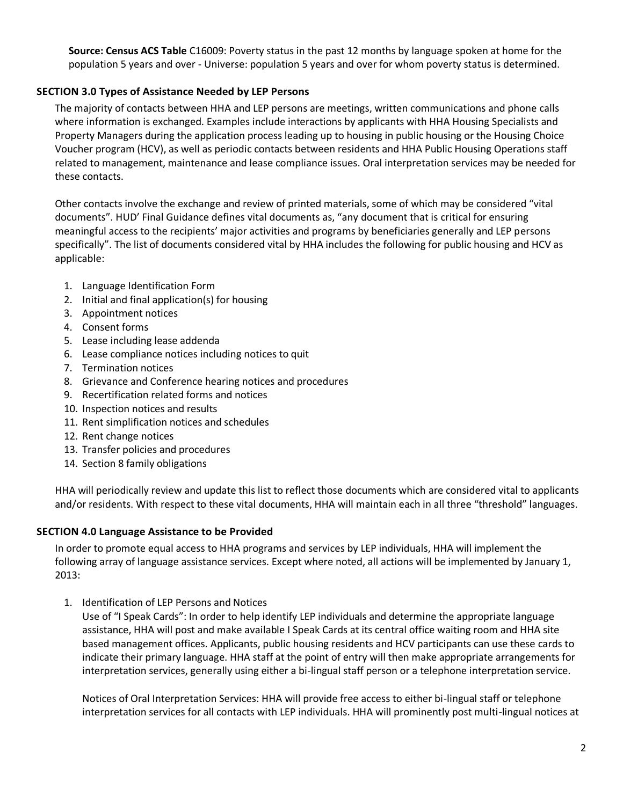**Source: Census ACS Table** C16009: Poverty status in the past 12 months by language spoken at home for the population 5 years and over - Universe: population 5 years and over for whom poverty status is determined.

# **SECTION 3.0 Types of Assistance Needed by LEP Persons**

The majority of contacts between HHA and LEP persons are meetings, written communications and phone calls where information is exchanged. Examples include interactions by applicants with HHA Housing Specialists and Property Managers during the application process leading up to housing in public housing or the Housing Choice Voucher program (HCV), as well as periodic contacts between residents and HHA Public Housing Operations staff related to management, maintenance and lease compliance issues. Oral interpretation services may be needed for these contacts.

Other contacts involve the exchange and review of printed materials, some of which may be considered "vital documents". HUD' Final Guidance defines vital documents as, "any document that is critical for ensuring meaningful access to the recipients' major activities and programs by beneficiaries generally and LEP persons specifically". The list of documents considered vital by HHA includes the following for public housing and HCV as applicable:

- 1. Language Identification Form
- 2. Initial and final application(s) for housing
- 3. Appointment notices
- 4. Consent forms
- 5. Lease including lease addenda
- 6. Lease compliance notices including notices to quit
- 7. Termination notices
- 8. Grievance and Conference hearing notices and procedures
- 9. Recertification related forms and notices
- 10. Inspection notices and results
- 11. Rent simplification notices and schedules
- 12. Rent change notices
- 13. Transfer policies and procedures
- 14. Section 8 family obligations

HHA will periodically review and update this list to reflect those documents which are considered vital to applicants and/or residents. With respect to these vital documents, HHA will maintain each in all three "threshold" languages.

## **SECTION 4.0 Language Assistance to be Provided**

In order to promote equal access to HHA programs and services by LEP individuals, HHA will implement the following array of language assistance services. Except where noted, all actions will be implemented by January 1, 2013:

1. Identification of LEP Persons and Notices

Use of "I Speak Cards": In order to help identify LEP individuals and determine the appropriate language assistance, HHA will post and make available I Speak Cards at its central office waiting room and HHA site based management offices. Applicants, public housing residents and HCV participants can use these cards to indicate their primary language. HHA staff at the point of entry will then make appropriate arrangements for interpretation services, generally using either a bi-lingual staff person or a telephone interpretation service.

Notices of Oral Interpretation Services: HHA will provide free access to either bi-lingual staff or telephone interpretation services for all contacts with LEP individuals. HHA will prominently post multi-lingual notices at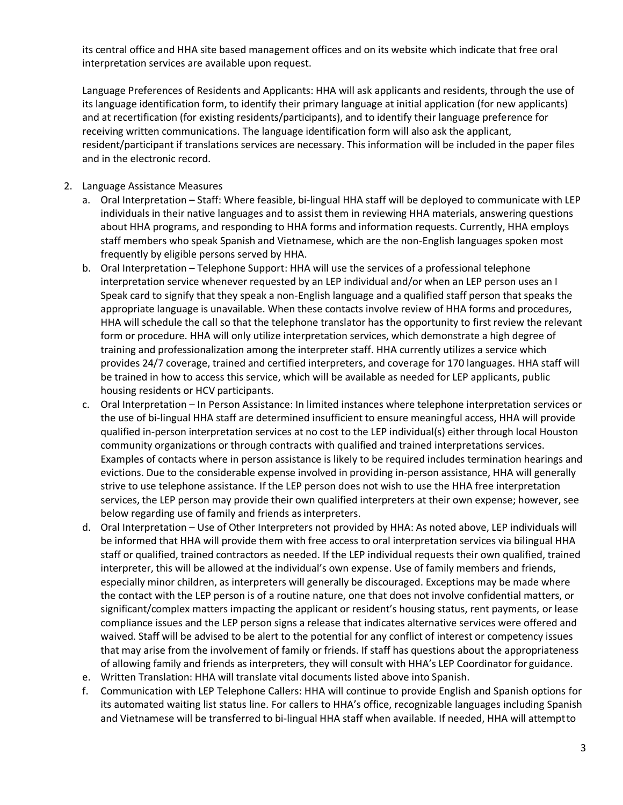its central office and HHA site based management offices and on its website which indicate that free oral interpretation services are available upon request.

Language Preferences of Residents and Applicants: HHA will ask applicants and residents, through the use of its language identification form, to identify their primary language at initial application (for new applicants) and at recertification (for existing residents/participants), and to identify their language preference for receiving written communications. The language identification form will also ask the applicant, resident/participant if translations services are necessary. This information will be included in the paper files and in the electronic record.

- 2. Language Assistance Measures
	- a. Oral Interpretation Staff: Where feasible, bi-lingual HHA staff will be deployed to communicate with LEP individuals in their native languages and to assist them in reviewing HHA materials, answering questions about HHA programs, and responding to HHA forms and information requests. Currently, HHA employs staff members who speak Spanish and Vietnamese, which are the non-English languages spoken most frequently by eligible persons served by HHA.
	- b. Oral Interpretation Telephone Support: HHA will use the services of a professional telephone interpretation service whenever requested by an LEP individual and/or when an LEP person uses an I Speak card to signify that they speak a non-English language and a qualified staff person that speaks the appropriate language is unavailable. When these contacts involve review of HHA forms and procedures, HHA will schedule the call so that the telephone translator has the opportunity to first review the relevant form or procedure. HHA will only utilize interpretation services, which demonstrate a high degree of training and professionalization among the interpreter staff. HHA currently utilizes a service which provides 24/7 coverage, trained and certified interpreters, and coverage for 170 languages. HHA staff will be trained in how to access this service, which will be available as needed for LEP applicants, public housing residents or HCV participants.
	- c. Oral Interpretation In Person Assistance: In limited instances where telephone interpretation services or the use of bi-lingual HHA staff are determined insufficient to ensure meaningful access, HHA will provide qualified in-person interpretation services at no cost to the LEP individual(s) either through local Houston community organizations or through contracts with qualified and trained interpretations services. Examples of contacts where in person assistance is likely to be required includes termination hearings and evictions. Due to the considerable expense involved in providing in-person assistance, HHA will generally strive to use telephone assistance. If the LEP person does not wish to use the HHA free interpretation services, the LEP person may provide their own qualified interpreters at their own expense; however, see below regarding use of family and friends as interpreters.
	- d. Oral Interpretation Use of Other Interpreters not provided by HHA: As noted above, LEP individuals will be informed that HHA will provide them with free access to oral interpretation services via bilingual HHA staff or qualified, trained contractors as needed. If the LEP individual requests their own qualified, trained interpreter, this will be allowed at the individual's own expense. Use of family members and friends, especially minor children, as interpreters will generally be discouraged. Exceptions may be made where the contact with the LEP person is of a routine nature, one that does not involve confidential matters, or significant/complex matters impacting the applicant or resident's housing status, rent payments, or lease compliance issues and the LEP person signs a release that indicates alternative services were offered and waived. Staff will be advised to be alert to the potential for any conflict of interest or competency issues that may arise from the involvement of family or friends. If staff has questions about the appropriateness of allowing family and friends as interpreters, they will consult with HHA's LEP Coordinator for guidance.
	- e. Written Translation: HHA will translate vital documents listed above into Spanish.
	- f. Communication with LEP Telephone Callers: HHA will continue to provide English and Spanish options for its automated waiting list status line. For callers to HHA's office, recognizable languages including Spanish and Vietnamese will be transferred to bi-lingual HHA staff when available. If needed, HHA will attemptto